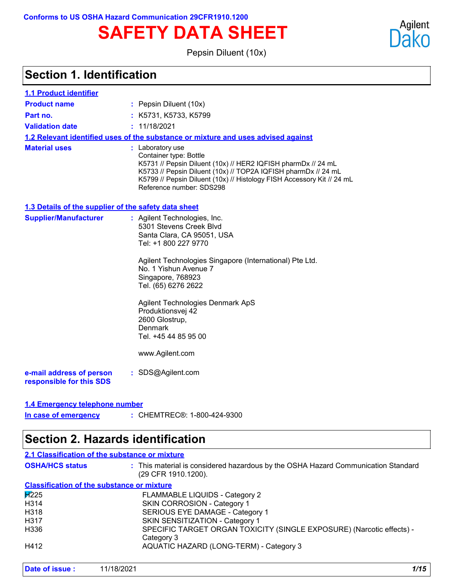# **SAFETY DATA SHEET**

Pepsin Diluent (10x)



### **Section 1. Identification**

| <b>1.1 Product identifier</b>                        |                                                                                                                                                                                                                                                                                                                                                                                       |
|------------------------------------------------------|---------------------------------------------------------------------------------------------------------------------------------------------------------------------------------------------------------------------------------------------------------------------------------------------------------------------------------------------------------------------------------------|
| <b>Product name</b>                                  | : Pepsin Diluent (10x)                                                                                                                                                                                                                                                                                                                                                                |
| Part no.                                             | : K5731, K5733, K5799                                                                                                                                                                                                                                                                                                                                                                 |
| <b>Validation date</b>                               | : 11/18/2021                                                                                                                                                                                                                                                                                                                                                                          |
|                                                      | 1.2 Relevant identified uses of the substance or mixture and uses advised against                                                                                                                                                                                                                                                                                                     |
| <b>Material uses</b>                                 | : Laboratory use<br>Container type: Bottle<br>K5731 // Pepsin Diluent (10x) // HER2 IQFISH pharmDx // 24 mL<br>K5733 // Pepsin Diluent (10x) // TOP2A IQFISH pharmDx // 24 mL<br>K5799 // Pepsin Diluent (10x) // Histology FISH Accessory Kit // 24 mL<br>Reference number: SDS298                                                                                                   |
| 1.3 Details of the supplier of the safety data sheet |                                                                                                                                                                                                                                                                                                                                                                                       |
| <b>Supplier/Manufacturer</b>                         | : Agilent Technologies, Inc.<br>5301 Stevens Creek Blvd<br>Santa Clara, CA 95051, USA<br>Tel: +1 800 227 9770<br>Agilent Technologies Singapore (International) Pte Ltd.<br>No. 1 Yishun Avenue 7<br>Singapore, 768923<br>Tel. (65) 6276 2622<br>Agilent Technologies Denmark ApS<br>Produktionsvej 42<br>2600 Glostrup,<br><b>Denmark</b><br>Tel. +45 44 85 95 00<br>www.Agilent.com |
| e-mail address of person<br>responsible for this SDS | : SDS@Agilent.com                                                                                                                                                                                                                                                                                                                                                                     |
| 1.4 Emergency telephone number                       |                                                                                                                                                                                                                                                                                                                                                                                       |
| In case of emergency                                 | : CHEMTREC®: 1-800-424-9300                                                                                                                                                                                                                                                                                                                                                           |

# **Section 2. Hazards identification**

|                                                   | 2.1 Classification of the substance or mixture                                                           |
|---------------------------------------------------|----------------------------------------------------------------------------------------------------------|
| <b>OSHA/HCS status</b>                            | : This material is considered hazardous by the OSHA Hazard Communication Standard<br>(29 CFR 1910.1200). |
| <b>Classification of the substance or mixture</b> |                                                                                                          |
| $\cancel{1225}$                                   | <b>FLAMMABLE LIQUIDS - Category 2</b>                                                                    |
| H314                                              | SKIN CORROSION - Category 1                                                                              |
| H318                                              | SERIOUS EYE DAMAGE - Category 1                                                                          |
| H317                                              | SKIN SENSITIZATION - Category 1                                                                          |
| H336                                              | SPECIFIC TARGET ORGAN TOXICITY (SINGLE EXPOSURE) (Narcotic effects) -<br>Category 3                      |
| H412                                              | AQUATIC HAZARD (LONG-TERM) - Category 3                                                                  |
| Date of issue :                                   | 1/15<br>11/18/2021                                                                                       |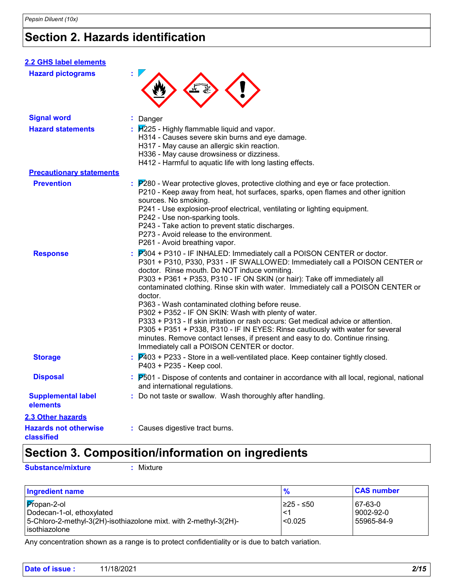# **Section 2. Hazards identification**

| 2.2 GHS label elements                     |                                                                                                                                                                                                                                                                                                                                                                                                                                                                                                                                                                                                                                                                                                                                                                                                                     |
|--------------------------------------------|---------------------------------------------------------------------------------------------------------------------------------------------------------------------------------------------------------------------------------------------------------------------------------------------------------------------------------------------------------------------------------------------------------------------------------------------------------------------------------------------------------------------------------------------------------------------------------------------------------------------------------------------------------------------------------------------------------------------------------------------------------------------------------------------------------------------|
| <b>Hazard pictograms</b>                   |                                                                                                                                                                                                                                                                                                                                                                                                                                                                                                                                                                                                                                                                                                                                                                                                                     |
| <b>Signal word</b>                         | : Danger                                                                                                                                                                                                                                                                                                                                                                                                                                                                                                                                                                                                                                                                                                                                                                                                            |
| <b>Hazard statements</b>                   | $\frac{1}{2}$ $\frac{1}{2}$ - Highly flammable liquid and vapor.<br>H314 - Causes severe skin burns and eye damage.<br>H317 - May cause an allergic skin reaction.<br>H336 - May cause drowsiness or dizziness.<br>H412 - Harmful to aquatic life with long lasting effects.                                                                                                                                                                                                                                                                                                                                                                                                                                                                                                                                        |
| <b>Precautionary statements</b>            |                                                                                                                                                                                                                                                                                                                                                                                                                                                                                                                                                                                                                                                                                                                                                                                                                     |
| <b>Prevention</b>                          | $\therefore$ $\mathbb{P}280$ - Wear protective gloves, protective clothing and eye or face protection.<br>P210 - Keep away from heat, hot surfaces, sparks, open flames and other ignition<br>sources. No smoking.<br>P241 - Use explosion-proof electrical, ventilating or lighting equipment.<br>P242 - Use non-sparking tools.<br>P243 - Take action to prevent static discharges.<br>P273 - Avoid release to the environment.<br>P261 - Avoid breathing vapor.                                                                                                                                                                                                                                                                                                                                                  |
| <b>Response</b>                            | $\frac{1}{2}$ $P$ 304 + P310 - IF INHALED: Immediately call a POISON CENTER or doctor.<br>P301 + P310, P330, P331 - IF SWALLOWED: Immediately call a POISON CENTER or<br>doctor. Rinse mouth. Do NOT induce vomiting.<br>P303 + P361 + P353, P310 - IF ON SKIN (or hair): Take off immediately all<br>contaminated clothing. Rinse skin with water. Immediately call a POISON CENTER or<br>doctor.<br>P363 - Wash contaminated clothing before reuse.<br>P302 + P352 - IF ON SKIN: Wash with plenty of water.<br>P333 + P313 - If skin irritation or rash occurs: Get medical advice or attention.<br>P305 + P351 + P338, P310 - IF IN EYES: Rinse cautiously with water for several<br>minutes. Remove contact lenses, if present and easy to do. Continue rinsing.<br>Immediately call a POISON CENTER or doctor. |
| <b>Storage</b>                             | $\frac{1}{2}$ $\mathsf{P}403$ + P233 - Store in a well-ventilated place. Keep container tightly closed.<br>P403 + P235 - Keep cool.                                                                                                                                                                                                                                                                                                                                                                                                                                                                                                                                                                                                                                                                                 |
| <b>Disposal</b>                            | : P501 - Dispose of contents and container in accordance with all local, regional, national<br>and international regulations.                                                                                                                                                                                                                                                                                                                                                                                                                                                                                                                                                                                                                                                                                       |
| <b>Supplemental label</b><br>elements      | : Do not taste or swallow. Wash thoroughly after handling.                                                                                                                                                                                                                                                                                                                                                                                                                                                                                                                                                                                                                                                                                                                                                          |
| 2.3 Other hazards                          |                                                                                                                                                                                                                                                                                                                                                                                                                                                                                                                                                                                                                                                                                                                                                                                                                     |
| <b>Hazards not otherwise</b><br>classified | : Causes digestive tract burns.                                                                                                                                                                                                                                                                                                                                                                                                                                                                                                                                                                                                                                                                                                                                                                                     |

# **Section 3. Composition/information on ingredients**

**Substance/mixture :** Mixture

| <b>Ingredient name</b>                                                                                                                  | $\frac{9}{6}$                   | <b>CAS number</b>                    |
|-----------------------------------------------------------------------------------------------------------------------------------------|---------------------------------|--------------------------------------|
| $ $ $P$ ropan-2-ol<br>Dodecan-1-ol, ethoxylated<br> 5-Chloro-2-methyl-3(2H)-isothiazolone mixt. with 2-methyl-3(2H)-<br>l isothiazolone | I≥25 - ≤50<br>l < 1<br> < 0.025 | 67-63-0<br>  9002-92-0<br>55965-84-9 |

Any concentration shown as a range is to protect confidentiality or is due to batch variation.

| Date of issue: | 11/18/2021 | 2/15 |
|----------------|------------|------|
|----------------|------------|------|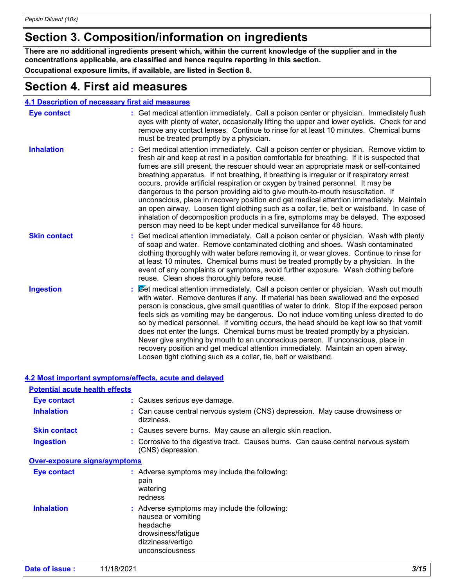# **Section 3. Composition/information on ingredients**

**Occupational exposure limits, if available, are listed in Section 8. There are no additional ingredients present which, within the current knowledge of the supplier and in the concentrations applicable, are classified and hence require reporting in this section.**

### **Section 4. First aid measures**

|                     | 4.1 Description of necessary first aid measures                                                                                                                                                                                                                                                                                                                                                                                                                                                                                                                                                                                                                                                                                                                                                                                                                                                              |
|---------------------|--------------------------------------------------------------------------------------------------------------------------------------------------------------------------------------------------------------------------------------------------------------------------------------------------------------------------------------------------------------------------------------------------------------------------------------------------------------------------------------------------------------------------------------------------------------------------------------------------------------------------------------------------------------------------------------------------------------------------------------------------------------------------------------------------------------------------------------------------------------------------------------------------------------|
| <b>Eye contact</b>  | : Get medical attention immediately. Call a poison center or physician. Immediately flush<br>eyes with plenty of water, occasionally lifting the upper and lower eyelids. Check for and<br>remove any contact lenses. Continue to rinse for at least 10 minutes. Chemical burns<br>must be treated promptly by a physician.                                                                                                                                                                                                                                                                                                                                                                                                                                                                                                                                                                                  |
| <b>Inhalation</b>   | : Get medical attention immediately. Call a poison center or physician. Remove victim to<br>fresh air and keep at rest in a position comfortable for breathing. If it is suspected that<br>fumes are still present, the rescuer should wear an appropriate mask or self-contained<br>breathing apparatus. If not breathing, if breathing is irregular or if respiratory arrest<br>occurs, provide artificial respiration or oxygen by trained personnel. It may be<br>dangerous to the person providing aid to give mouth-to-mouth resuscitation. If<br>unconscious, place in recovery position and get medical attention immediately. Maintain<br>an open airway. Loosen tight clothing such as a collar, tie, belt or waistband. In case of<br>inhalation of decomposition products in a fire, symptoms may be delayed. The exposed<br>person may need to be kept under medical surveillance for 48 hours. |
| <b>Skin contact</b> | : Get medical attention immediately. Call a poison center or physician. Wash with plenty<br>of soap and water. Remove contaminated clothing and shoes. Wash contaminated<br>clothing thoroughly with water before removing it, or wear gloves. Continue to rinse for<br>at least 10 minutes. Chemical burns must be treated promptly by a physician. In the<br>event of any complaints or symptoms, avoid further exposure. Wash clothing before<br>reuse. Clean shoes thoroughly before reuse.                                                                                                                                                                                                                                                                                                                                                                                                              |
| <b>Ingestion</b>    | Get medical attention immediately. Call a poison center or physician. Wash out mouth<br>with water. Remove dentures if any. If material has been swallowed and the exposed<br>person is conscious, give small quantities of water to drink. Stop if the exposed person<br>feels sick as vomiting may be dangerous. Do not induce vomiting unless directed to do<br>so by medical personnel. If vomiting occurs, the head should be kept low so that vomit<br>does not enter the lungs. Chemical burns must be treated promptly by a physician.<br>Never give anything by mouth to an unconscious person. If unconscious, place in<br>recovery position and get medical attention immediately. Maintain an open airway.<br>Loosen tight clothing such as a collar, tie, belt or waistband.                                                                                                                    |

| 4.2 Most important symptoms/effects, acute and delayed |                                                                                                                                               |
|--------------------------------------------------------|-----------------------------------------------------------------------------------------------------------------------------------------------|
| <b>Potential acute health effects</b>                  |                                                                                                                                               |
| <b>Eye contact</b>                                     | : Causes serious eye damage.                                                                                                                  |
| <b>Inhalation</b>                                      | : Can cause central nervous system (CNS) depression. May cause drowsiness or<br>dizziness.                                                    |
| <b>Skin contact</b>                                    | : Causes severe burns. May cause an allergic skin reaction.                                                                                   |
| <b>Ingestion</b>                                       | : Corrosive to the digestive tract. Causes burns. Can cause central nervous system<br>(CNS) depression.                                       |
| <b>Over-exposure signs/symptoms</b>                    |                                                                                                                                               |
| Eye contact                                            | : Adverse symptoms may include the following:<br>pain<br>watering<br>redness                                                                  |
| <b>Inhalation</b>                                      | : Adverse symptoms may include the following:<br>nausea or vomiting<br>headache<br>drowsiness/fatigue<br>dizziness/vertigo<br>unconsciousness |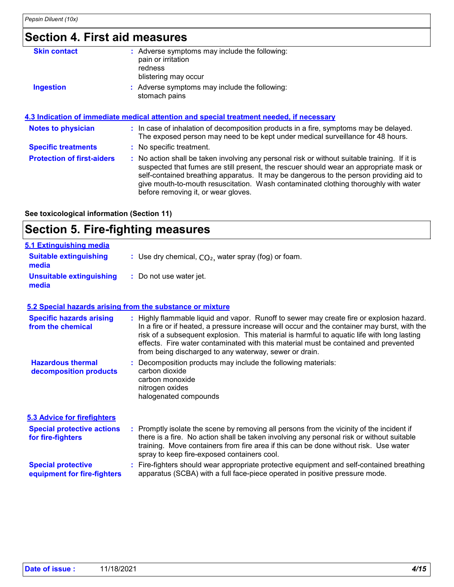# **Section 4. First aid measures**

| <b>Skin contact</b>               | : Adverse symptoms may include the following:<br>pain or irritation                                                                                                                                                                                                                                                                                                                                             |
|-----------------------------------|-----------------------------------------------------------------------------------------------------------------------------------------------------------------------------------------------------------------------------------------------------------------------------------------------------------------------------------------------------------------------------------------------------------------|
|                                   | redness<br>blistering may occur                                                                                                                                                                                                                                                                                                                                                                                 |
| <b>Ingestion</b>                  | : Adverse symptoms may include the following:<br>stomach pains                                                                                                                                                                                                                                                                                                                                                  |
|                                   | 4.3 Indication of immediate medical attention and special treatment needed, if necessary                                                                                                                                                                                                                                                                                                                        |
| <b>Notes to physician</b>         | : In case of inhalation of decomposition products in a fire, symptoms may be delayed.<br>The exposed person may need to be kept under medical surveillance for 48 hours.                                                                                                                                                                                                                                        |
| <b>Specific treatments</b>        | : No specific treatment.                                                                                                                                                                                                                                                                                                                                                                                        |
| <b>Protection of first-aiders</b> | : No action shall be taken involving any personal risk or without suitable training. If it is<br>suspected that fumes are still present, the rescuer should wear an appropriate mask or<br>self-contained breathing apparatus. It may be dangerous to the person providing aid to<br>give mouth-to-mouth resuscitation. Wash contaminated clothing thoroughly with water<br>before removing it, or wear gloves. |

**See toxicological information (Section 11)**

### **Section 5. Fire-fighting measures**

| 5.1 Extinguishing media                                |                                                                                                                                                                                                                                                                                                                                                                                                                                          |
|--------------------------------------------------------|------------------------------------------------------------------------------------------------------------------------------------------------------------------------------------------------------------------------------------------------------------------------------------------------------------------------------------------------------------------------------------------------------------------------------------------|
| <b>Suitable extinguishing</b><br>media                 | : Use dry chemical, $CO2$ , water spray (fog) or foam.                                                                                                                                                                                                                                                                                                                                                                                   |
| <b>Unsuitable extinguishing</b><br>media               | : Do not use water jet.                                                                                                                                                                                                                                                                                                                                                                                                                  |
|                                                        | 5.2 Special hazards arising from the substance or mixture                                                                                                                                                                                                                                                                                                                                                                                |
| <b>Specific hazards arising</b><br>from the chemical   | : Highly flammable liquid and vapor. Runoff to sewer may create fire or explosion hazard.<br>In a fire or if heated, a pressure increase will occur and the container may burst, with the<br>risk of a subsequent explosion. This material is harmful to aquatic life with long lasting<br>effects. Fire water contaminated with this material must be contained and prevented<br>from being discharged to any waterway, sewer or drain. |
| <b>Hazardous thermal</b><br>decomposition products     | : Decomposition products may include the following materials:<br>carbon dioxide<br>carbon monoxide<br>nitrogen oxides<br>halogenated compounds                                                                                                                                                                                                                                                                                           |
| <b>5.3 Advice for firefighters</b>                     |                                                                                                                                                                                                                                                                                                                                                                                                                                          |
| <b>Special protective actions</b><br>for fire-fighters | : Promptly isolate the scene by removing all persons from the vicinity of the incident if<br>there is a fire. No action shall be taken involving any personal risk or without suitable<br>training. Move containers from fire area if this can be done without risk. Use water                                                                                                                                                           |

spray to keep fire-exposed containers cool. Fire-fighters should wear appropriate protective equipment and self-contained breathing **:** apparatus (SCBA) with a full face-piece operated in positive pressure mode. **Special protective equipment for fire-fighters**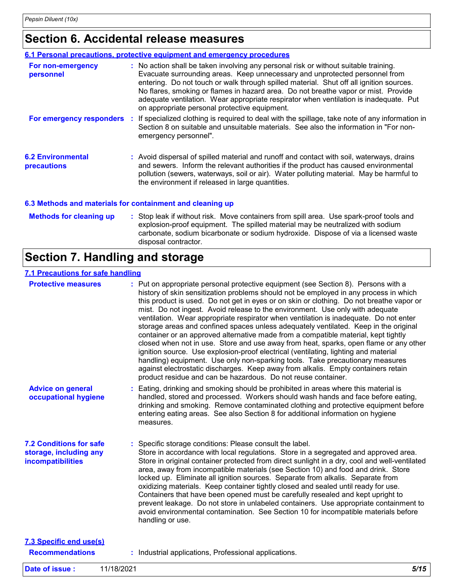### **Section 6. Accidental release measures**

|                                                           | 6.1 Personal precautions, protective equipment and emergency procedures                                                                                                                                                                                                                                                                                                                                                                                                                        |
|-----------------------------------------------------------|------------------------------------------------------------------------------------------------------------------------------------------------------------------------------------------------------------------------------------------------------------------------------------------------------------------------------------------------------------------------------------------------------------------------------------------------------------------------------------------------|
| For non-emergency<br>personnel                            | : No action shall be taken involving any personal risk or without suitable training.<br>Evacuate surrounding areas. Keep unnecessary and unprotected personnel from<br>entering. Do not touch or walk through spilled material. Shut off all ignition sources.<br>No flares, smoking or flames in hazard area. Do not breathe vapor or mist. Provide<br>adequate ventilation. Wear appropriate respirator when ventilation is inadequate. Put<br>on appropriate personal protective equipment. |
| For emergency responders                                  | : If specialized clothing is required to deal with the spillage, take note of any information in<br>Section 8 on suitable and unsuitable materials. See also the information in "For non-<br>emergency personnel".                                                                                                                                                                                                                                                                             |
| <b>6.2 Environmental</b><br>precautions                   | : Avoid dispersal of spilled material and runoff and contact with soil, waterways, drains<br>and sewers. Inform the relevant authorities if the product has caused environmental<br>pollution (sewers, waterways, soil or air). Water polluting material. May be harmful to<br>the environment if released in large quantities.                                                                                                                                                                |
| 6.3 Methods and materials for containment and cleaning up |                                                                                                                                                                                                                                                                                                                                                                                                                                                                                                |

#### Stop leak if without risk. Move containers from spill area. Use spark-proof tools and explosion-proof equipment. The spilled material may be neutralized with sodium carbonate, sodium bicarbonate or sodium hydroxide. Dispose of via a licensed waste disposal contractor. **Methods for cleaning up :**

# **Section 7. Handling and storage**

#### **7.1 Precautions for safe handling**

| <b>Protective measures</b>                                                    | : Put on appropriate personal protective equipment (see Section 8). Persons with a<br>history of skin sensitization problems should not be employed in any process in which<br>this product is used. Do not get in eyes or on skin or clothing. Do not breathe vapor or<br>mist. Do not ingest. Avoid release to the environment. Use only with adequate<br>ventilation. Wear appropriate respirator when ventilation is inadequate. Do not enter<br>storage areas and confined spaces unless adequately ventilated. Keep in the original<br>container or an approved alternative made from a compatible material, kept tightly<br>closed when not in use. Store and use away from heat, sparks, open flame or any other<br>ignition source. Use explosion-proof electrical (ventilating, lighting and material<br>handling) equipment. Use only non-sparking tools. Take precautionary measures<br>against electrostatic discharges. Keep away from alkalis. Empty containers retain<br>product residue and can be hazardous. Do not reuse container. |
|-------------------------------------------------------------------------------|--------------------------------------------------------------------------------------------------------------------------------------------------------------------------------------------------------------------------------------------------------------------------------------------------------------------------------------------------------------------------------------------------------------------------------------------------------------------------------------------------------------------------------------------------------------------------------------------------------------------------------------------------------------------------------------------------------------------------------------------------------------------------------------------------------------------------------------------------------------------------------------------------------------------------------------------------------------------------------------------------------------------------------------------------------|
| <b>Advice on general</b><br>occupational hygiene                              | Eating, drinking and smoking should be prohibited in areas where this material is<br>handled, stored and processed. Workers should wash hands and face before eating,<br>drinking and smoking. Remove contaminated clothing and protective equipment before<br>entering eating areas. See also Section 8 for additional information on hygiene<br>measures.                                                                                                                                                                                                                                                                                                                                                                                                                                                                                                                                                                                                                                                                                            |
| <b>7.2 Conditions for safe</b><br>storage, including any<br>incompatibilities | : Specific storage conditions: Please consult the label.<br>Store in accordance with local regulations. Store in a segregated and approved area.<br>Store in original container protected from direct sunlight in a dry, cool and well-ventilated<br>area, away from incompatible materials (see Section 10) and food and drink. Store<br>locked up. Eliminate all ignition sources. Separate from alkalis. Separate from<br>oxidizing materials. Keep container tightly closed and sealed until ready for use.<br>Containers that have been opened must be carefully resealed and kept upright to<br>prevent leakage. Do not store in unlabeled containers. Use appropriate containment to<br>avoid environmental contamination. See Section 10 for incompatible materials before<br>handling or use.                                                                                                                                                                                                                                                 |
| <b>7.3 Specific end use(s)</b><br><b>Recommendations</b>                      | : Industrial applications, Professional applications.                                                                                                                                                                                                                                                                                                                                                                                                                                                                                                                                                                                                                                                                                                                                                                                                                                                                                                                                                                                                  |
| Date of issue:                                                                | 5/15<br>11/18/2021                                                                                                                                                                                                                                                                                                                                                                                                                                                                                                                                                                                                                                                                                                                                                                                                                                                                                                                                                                                                                                     |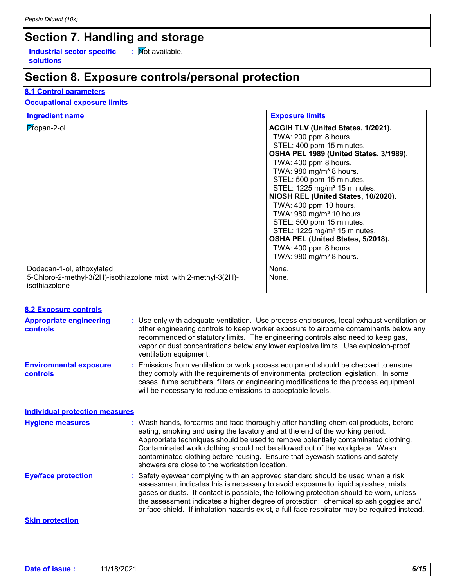### **Section 7. Handling and storage**

**Industrial sector specific : Mot solutions** : Mot available.

# **Section 8. Exposure controls/personal protection**

#### **8.1 Control parameters**

#### **Occupational exposure limits**

| <b>Ingredient name</b>                                                                                         | <b>Exposure limits</b>                                                                                                                                                                                                                                                                                                                                                                                                                                                                                                                                           |
|----------------------------------------------------------------------------------------------------------------|------------------------------------------------------------------------------------------------------------------------------------------------------------------------------------------------------------------------------------------------------------------------------------------------------------------------------------------------------------------------------------------------------------------------------------------------------------------------------------------------------------------------------------------------------------------|
| Propan-2-ol                                                                                                    | ACGIH TLV (United States, 1/2021).<br>TWA: 200 ppm 8 hours.<br>STEL: 400 ppm 15 minutes.<br>OSHA PEL 1989 (United States, 3/1989).<br>TWA: 400 ppm 8 hours.<br>TWA: $980 \text{ mg/m}^3$ 8 hours.<br>STEL: 500 ppm 15 minutes.<br>STEL: 1225 mg/m <sup>3</sup> 15 minutes.<br>NIOSH REL (United States, 10/2020).<br>TWA: 400 ppm 10 hours.<br>TWA: 980 mg/m <sup>3</sup> 10 hours.<br>STEL: 500 ppm 15 minutes.<br>STEL: 1225 mg/m <sup>3</sup> 15 minutes.<br>OSHA PEL (United States, 5/2018).<br>TWA: 400 ppm 8 hours.<br>TWA: $980 \text{ mg/m}^3$ 8 hours. |
| Dodecan-1-ol, ethoxylated<br>5-Chloro-2-methyl-3(2H)-isothiazolone mixt. with 2-methyl-3(2H)-<br>isothiazolone | None.<br>None.                                                                                                                                                                                                                                                                                                                                                                                                                                                                                                                                                   |

| <b>8.2 Exposure controls</b>                     |                                                                                                                                                                                                                                                                                                                                                                                                                                                                             |
|--------------------------------------------------|-----------------------------------------------------------------------------------------------------------------------------------------------------------------------------------------------------------------------------------------------------------------------------------------------------------------------------------------------------------------------------------------------------------------------------------------------------------------------------|
| <b>Appropriate engineering</b><br>controls       | : Use only with adequate ventilation. Use process enclosures, local exhaust ventilation or<br>other engineering controls to keep worker exposure to airborne contaminants below any<br>recommended or statutory limits. The engineering controls also need to keep gas,<br>vapor or dust concentrations below any lower explosive limits. Use explosion-proof<br>ventilation equipment.                                                                                     |
| <b>Environmental exposure</b><br><b>controls</b> | Emissions from ventilation or work process equipment should be checked to ensure<br>they comply with the requirements of environmental protection legislation. In some<br>cases, fume scrubbers, filters or engineering modifications to the process equipment<br>will be necessary to reduce emissions to acceptable levels.                                                                                                                                               |
| <b>Individual protection measures</b>            |                                                                                                                                                                                                                                                                                                                                                                                                                                                                             |
| <b>Hygiene measures</b>                          | : Wash hands, forearms and face thoroughly after handling chemical products, before<br>eating, smoking and using the lavatory and at the end of the working period.<br>Appropriate techniques should be used to remove potentially contaminated clothing.<br>Contaminated work clothing should not be allowed out of the workplace. Wash<br>contaminated clothing before reusing. Ensure that eyewash stations and safety<br>showers are close to the workstation location. |
| <b>Eye/face protection</b>                       | : Safety eyewear complying with an approved standard should be used when a risk<br>assessment indicates this is necessary to avoid exposure to liquid splashes, mists,<br>gases or dusts. If contact is possible, the following protection should be worn, unless<br>the assessment indicates a higher degree of protection: chemical splash goggles and/<br>or face shield. If inhalation hazards exist, a full-face respirator may be required instead.                   |
| <b>Skin protection</b>                           |                                                                                                                                                                                                                                                                                                                                                                                                                                                                             |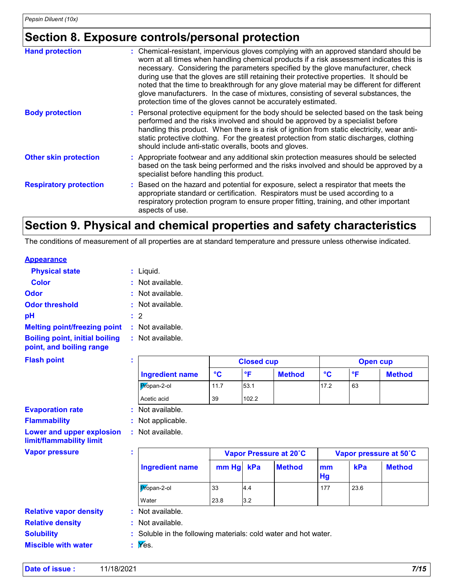### **Section 8. Exposure controls/personal protection**

| <b>Hand protection</b>        | : Chemical-resistant, impervious gloves complying with an approved standard should be<br>worn at all times when handling chemical products if a risk assessment indicates this is<br>necessary. Considering the parameters specified by the glove manufacturer, check<br>during use that the gloves are still retaining their protective properties. It should be<br>noted that the time to breakthrough for any glove material may be different for different<br>glove manufacturers. In the case of mixtures, consisting of several substances, the<br>protection time of the gloves cannot be accurately estimated. |
|-------------------------------|------------------------------------------------------------------------------------------------------------------------------------------------------------------------------------------------------------------------------------------------------------------------------------------------------------------------------------------------------------------------------------------------------------------------------------------------------------------------------------------------------------------------------------------------------------------------------------------------------------------------|
| <b>Body protection</b>        | Personal protective equipment for the body should be selected based on the task being<br>performed and the risks involved and should be approved by a specialist before<br>handling this product. When there is a risk of ignition from static electricity, wear anti-<br>static protective clothing. For the greatest protection from static discharges, clothing<br>should include anti-static overalls, boots and gloves.                                                                                                                                                                                           |
| <b>Other skin protection</b>  | : Appropriate footwear and any additional skin protection measures should be selected<br>based on the task being performed and the risks involved and should be approved by a<br>specialist before handling this product.                                                                                                                                                                                                                                                                                                                                                                                              |
| <b>Respiratory protection</b> | Based on the hazard and potential for exposure, select a respirator that meets the<br>appropriate standard or certification. Respirators must be used according to a<br>respiratory protection program to ensure proper fitting, training, and other important<br>aspects of use.                                                                                                                                                                                                                                                                                                                                      |
|                               |                                                                                                                                                                                                                                                                                                                                                                                                                                                                                                                                                                                                                        |

### **Section 9. Physical and chemical properties and safety characteristics**

The conditions of measurement of all properties are at standard temperature and pressure unless otherwise indicated.

| <b>Appearance</b>                                                 |                        |
|-------------------------------------------------------------------|------------------------|
| <b>Physical state</b>                                             | : Liquid.              |
| Color                                                             | $:$ Not available      |
| Odor                                                              | : Not available        |
| <b>Odor threshold</b>                                             | $\cdot$ Not available. |
| рH                                                                | : 2                    |
| <b>Melting point/freezing point</b>                               | : Not available.       |
| <b>Boiling point, initial boiling</b><br>point, and boiling range | $:$ Not available.     |

|                        | <b>Closed cup</b> |                        |               |      | Open cup   |               |  |
|------------------------|-------------------|------------------------|---------------|------|------------|---------------|--|
| <b>Ingredient name</b> | °C                | $\circ$ $\blacksquare$ | <b>Method</b> | °C   | $^{\circ}$ | <b>Method</b> |  |
| Propan-2-ol            | 11.7              | 53.1                   |               | 17.2 | 63         |               |  |
| Acetic acid            | 39                | 102.2                  |               |      |            |               |  |

#### **Evaporation rate**

**Flammability :** Not applicable.

**Flash point**

**Lower and upper explosion limit/flammability limit**

#### **Vap**

| <b>Vapor pressure</b>         | п.<br>٠.                                                        |       | Vapor Pressure at 20°C |               |          | Vapor pressure at 50°C |               |  |
|-------------------------------|-----------------------------------------------------------------|-------|------------------------|---------------|----------|------------------------|---------------|--|
|                               | Ingredient name                                                 | mm Hg | kPa                    | <b>Method</b> | mm<br>Hg | kPa                    | <b>Method</b> |  |
|                               | Propan-2-ol                                                     | 33    | 4.4                    |               | 177      | 23.6                   |               |  |
|                               | Water                                                           | 23.8  | 3.2                    |               |          |                        |               |  |
| <b>Relative vapor density</b> | Not available.                                                  |       |                        |               |          |                        |               |  |
| <b>Relative density</b>       | : Not available.                                                |       |                        |               |          |                        |               |  |
| <b>Solubility</b>             | : Soluble in the following materials: cold water and hot water. |       |                        |               |          |                        |               |  |
| <b>Miscible with water</b>    | $\mathbf{y}$ $\mathbf{y}$ $\mathbf{g}$ $\mathbf{g}$             |       |                        |               |          |                        |               |  |

**Date of issue :** 11/18/2021 *7/15*

**:**

**:** Not available.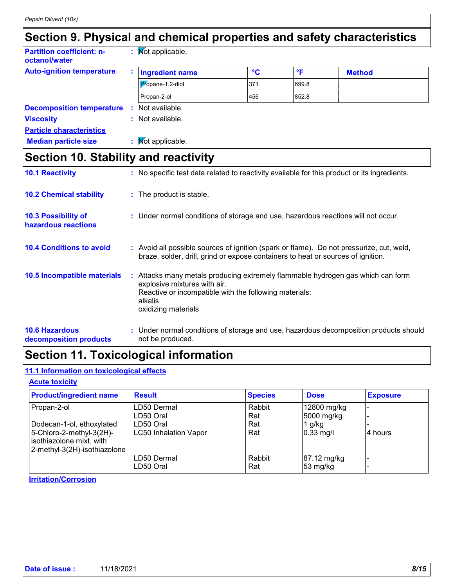### **Section 9. Physical and chemical properties and safety characteristics**

| <b>Partition coefficient: n-</b><br>octanol/water | : Mot applicable.      |              |       |               |  |
|---------------------------------------------------|------------------------|--------------|-------|---------------|--|
| <b>Auto-ignition temperature</b>                  | <b>Ingredient name</b> | $\mathbf{C}$ | °F    | <b>Method</b> |  |
|                                                   | Propane-1,2-diol       | 371          | 699.8 |               |  |
|                                                   | Propan-2-ol            | 456          | 852.8 |               |  |
| <b>Decomposition temperature</b>                  | Not available.<br>٠.   |              |       |               |  |
| <b>Viscosity</b>                                  | : Not available.       |              |       |               |  |
| <b>Particle characteristics</b>                   |                        |              |       |               |  |
| <b>Median particle size</b>                       | : Mot applicable.      |              |       |               |  |

### **Section 10. Stability and reactivity**

| <b>10.1 Reactivity</b>                          | : No specific test data related to reactivity available for this product or its ingredients.                                                                                                              |
|-------------------------------------------------|-----------------------------------------------------------------------------------------------------------------------------------------------------------------------------------------------------------|
| <b>10.2 Chemical stability</b>                  | : The product is stable.                                                                                                                                                                                  |
| 10.3 Possibility of<br>hazardous reactions      | : Under normal conditions of storage and use, hazardous reactions will not occur.                                                                                                                         |
| <b>10.4 Conditions to avoid</b>                 | : Avoid all possible sources of ignition (spark or flame). Do not pressurize, cut, weld,<br>braze, solder, drill, grind or expose containers to heat or sources of ignition.                              |
| 10.5 Incompatible materials                     | Attacks many metals producing extremely flammable hydrogen gas which can form<br>explosive mixtures with air.<br>Reactive or incompatible with the following materials:<br>alkalis<br>oxidizing materials |
| <b>10.6 Hazardous</b><br>decomposition products | : Under normal conditions of storage and use, hazardous decomposition products should<br>not be produced.                                                                                                 |

### **Section 11. Toxicological information**

#### **11.1 Information on toxicological effects**

#### **Acute toxicity**

| <b>Product/ingredient name</b>                                                                                     | <b>Result</b>                             | <b>Species</b> | <b>Dose</b>                       | <b>Exposure</b> |
|--------------------------------------------------------------------------------------------------------------------|-------------------------------------------|----------------|-----------------------------------|-----------------|
| Propan-2-ol                                                                                                        | LD50 Dermal<br>LD50 Oral                  | Rabbit<br>Rat  | 12800 mg/kg<br>5000 mg/kg         |                 |
| Dodecan-1-ol, ethoxylated<br>5-Chloro-2-methyl-3(2H)-<br>lisothiazolone mixt. with<br>2-methyl-3(2H)-isothiazolone | LD50 Oral<br><b>LC50 Inhalation Vapor</b> | Rat<br>Rat     | 1 $g/kg$<br>$0.33$ mg/l           | 4 hours         |
|                                                                                                                    | LD50 Dermal<br>LD50 Oral                  | Rabbit<br>Rat  | 87.12 mg/kg<br>$53 \text{ mg/kg}$ |                 |

**Irritation/Corrosion**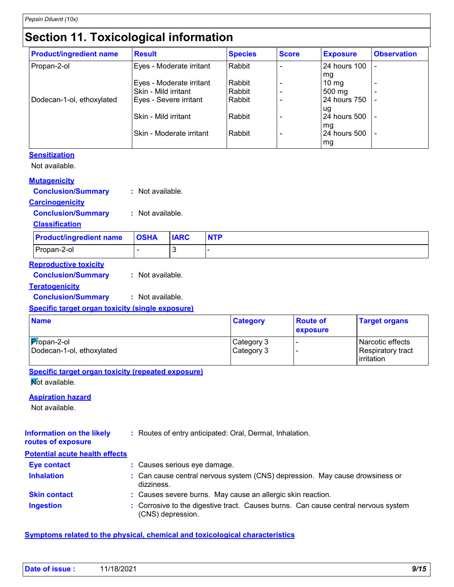# **Section 11. Toxicological information**

| <b>Product/ingredient name</b> | <b>Result</b>            | <b>Species</b> | <b>Score</b> | <b>Exposure</b> | <b>Observation</b>       |
|--------------------------------|--------------------------|----------------|--------------|-----------------|--------------------------|
| Propan-2-ol                    | Eyes - Moderate irritant | Rabbit         |              | 24 hours 100    |                          |
|                                |                          |                |              | mg              |                          |
|                                | Eyes - Moderate irritant | Rabbit         |              | $10 \text{ mg}$ |                          |
|                                | Skin - Mild irritant     | Rabbit         |              | 500 mg          | $\overline{a}$           |
| Dodecan-1-ol, ethoxylated      | Eyes - Severe irritant   | Rabbit         |              | 24 hours 750    |                          |
|                                |                          |                |              | ug              |                          |
|                                | Skin - Mild irritant     | Rabbit         |              | 24 hours 500    |                          |
|                                |                          |                |              | mg              |                          |
|                                | Skin - Moderate irritant | Rabbit         |              | 24 hours 500    | $\overline{\phantom{a}}$ |
|                                |                          |                |              | mg              |                          |

#### **Sensitization**

Not available.

#### **Mutagenicity**

**Conclusion/Summary :** Not available.

#### **Carcinogenicity**

**Conclusion/Summary :** Not available.

#### **Classification**

| <b>Product/ingredient name OSHA</b> | <b>IARC</b> | <b>NTP</b> |
|-------------------------------------|-------------|------------|
| l Propan-2-ol                       |             |            |

#### **Reproductive toxicity**

**Conclusion/Summary :** Not available.

#### **Teratogenicity**

**Conclusion/Summary :** Not available.

#### **Specific target organ toxicity (single exposure)**

| <b>Name</b>                                     | <b>Category</b>          | <b>Route of</b><br>exposure | <b>Target organs</b>                                         |
|-------------------------------------------------|--------------------------|-----------------------------|--------------------------------------------------------------|
| $ $ $P$ ropan-2-ol<br>Dodecan-1-ol, ethoxylated | Category 3<br>Category 3 |                             | Narcotic effects<br>Respiratory tract<br><b>l</b> irritation |

#### **Specific target organ toxicity (repeated exposure)**

**Not available.** 

#### **Aspiration hazard**

Not available.

**Information on the likely routes of exposure :** Routes of entry anticipated: Oral, Dermal, Inhalation.

#### **Potential acute health effects**

| <b>Eye contact</b><br><b>Inhalation</b> | : Causes serious eye damage.<br>: Can cause central nervous system (CNS) depression. May cause drowsiness or<br>dizziness. |
|-----------------------------------------|----------------------------------------------------------------------------------------------------------------------------|
| <b>Skin contact</b>                     | : Causes severe burns. May cause an allergic skin reaction.                                                                |
| <b>Ingestion</b>                        | : Corrosive to the digestive tract. Causes burns. Can cause central nervous system<br>(CNS) depression.                    |

#### **Symptoms related to the physical, chemical and toxicological characteristics**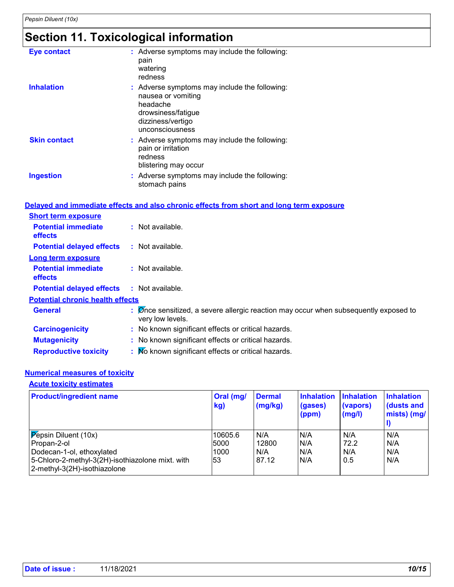# **Section 11. Toxicological information**

| <b>Eye contact</b>  | : Adverse symptoms may include the following:<br>pain<br>watering<br>redness                                                                    |
|---------------------|-------------------------------------------------------------------------------------------------------------------------------------------------|
| <b>Inhalation</b>   | $:$ Adverse symptoms may include the following:<br>nausea or vomiting<br>headache<br>drowsiness/fatigue<br>dizziness/vertigo<br>unconsciousness |
| <b>Skin contact</b> | : Adverse symptoms may include the following:<br>pain or irritation<br>redness<br>blistering may occur                                          |
| <b>Ingestion</b>    | : Adverse symptoms may include the following:<br>stomach pains                                                                                  |

|                                              | Delayed and immediate effects and also chronic effects from short and long term exposure                             |
|----------------------------------------------|----------------------------------------------------------------------------------------------------------------------|
| <b>Short term exposure</b>                   |                                                                                                                      |
| <b>Potential immediate</b><br><b>effects</b> | : Not available.                                                                                                     |
| <b>Potential delayed effects</b>             | : Not available.                                                                                                     |
| <b>Long term exposure</b>                    |                                                                                                                      |
| <b>Potential immediate</b><br>effects        | : Not available.                                                                                                     |
| <b>Potential delayed effects</b>             | : Not available.                                                                                                     |
| <b>Potential chronic health effects</b>      |                                                                                                                      |
| <b>General</b>                               | $\sim$ $\%$ ) $\%$ Sonsitized, a severe allergic reaction may occur when subsequently exposed to<br>very low levels. |
| <b>Carcinogenicity</b>                       | : No known significant effects or critical hazards.                                                                  |
| <b>Mutagenicity</b>                          | : No known significant effects or critical hazards.                                                                  |
| <b>Reproductive toxicity</b>                 | : Mo known significant effects or critical hazards.                                                                  |

#### **Numerical measures of toxicity**

#### **Acute toxicity estimates**

| <b>Product/ingredient name</b>                                                   | Oral (mg/<br>kg) | <b>Dermal</b><br>(mg/kg) | <b>Inhalation</b><br>(gases)<br>(ppm) | <b>Inhalation</b><br>(vapors)<br>(mg/l) | <b>Inhalation</b><br>(dusts and<br>mists) (mg/ |
|----------------------------------------------------------------------------------|------------------|--------------------------|---------------------------------------|-----------------------------------------|------------------------------------------------|
| $P$ epsin Diluent (10x)                                                          | 10605.6          | N/A                      | N/A                                   | N/A                                     | N/A                                            |
| Propan-2-ol                                                                      | 5000             | 12800                    | N/A                                   | 72.2                                    | N/A                                            |
| Dodecan-1-ol, ethoxylated                                                        | 1000             | N/A                      | N/A                                   | N/A                                     | N/A                                            |
| 5-Chloro-2-methyl-3(2H)-isothiazolone mixt. with<br>2-methyl-3(2H)-isothiazolone | 53               | 87.12                    | N/A                                   | 0.5                                     | N/A                                            |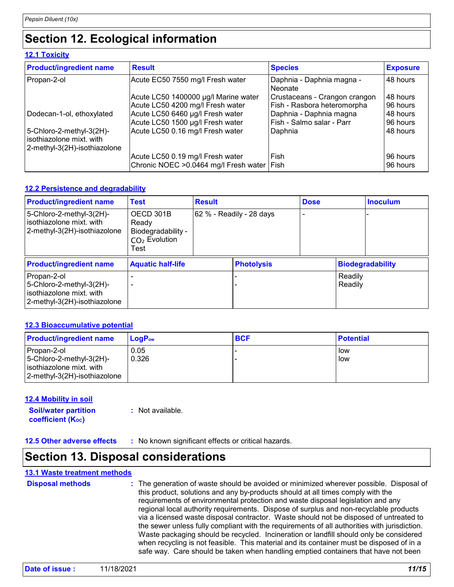# **Section 12. Ecological information**

#### **12.1 Toxicity**

| <b>Product/ingredient name</b>                                                       | <b>Result</b>                                 | <b>Species</b>                       | <b>Exposure</b> |
|--------------------------------------------------------------------------------------|-----------------------------------------------|--------------------------------------|-----------------|
| Acute EC50 7550 mg/l Fresh water<br>Propan-2-ol                                      |                                               | Daphnia - Daphnia magna -<br>Neonate | 48 hours        |
|                                                                                      | Acute LC50 1400000 µg/l Marine water          | Crustaceans - Crangon crangon        | 48 hours        |
|                                                                                      | Acute LC50 4200 mg/l Fresh water              | Fish - Rasbora heteromorpha          | 96 hours        |
| Dodecan-1-ol, ethoxylated                                                            | Acute LC50 6460 µg/l Fresh water              | Daphnia - Daphnia magna              | 48 hours        |
|                                                                                      | Acute LC50 1500 µg/l Fresh water              | Fish - Salmo salar - Parr            | 96 hours        |
| 5-Chloro-2-methyl-3(2H)-<br>isothiazolone mixt, with<br>2-methyl-3(2H)-isothiazolone | Acute LC50 0.16 mg/l Fresh water              | Daphnia                              | 48 hours        |
|                                                                                      | Acute LC50 0.19 mg/l Fresh water              | l Fish                               | 96 hours        |
|                                                                                      | Chronic NOEC > 0.0464 mg/l Fresh water   Fish |                                      | 96 hours        |

#### **12.2 Persistence and degradability**

| <b>Product/ingredient name</b>                                                                      | <b>Test</b>                                                         | <b>Result</b>            |  | <b>Dose</b> |                    | <b>Inoculum</b>         |
|-----------------------------------------------------------------------------------------------------|---------------------------------------------------------------------|--------------------------|--|-------------|--------------------|-------------------------|
| 5-Chloro-2-methyl-3(2H)-<br>isothiazolone mixt, with<br>2-methyl-3(2H)-isothiazolone                | OECD 301B<br>Ready<br>Biodegradability -<br>$CO2$ Evolution<br>Test | 62 % - Readily - 28 days |  |             |                    |                         |
| <b>Product/ingredient name</b>                                                                      | <b>Aquatic half-life</b>                                            | <b>Photolysis</b>        |  |             |                    | <b>Biodegradability</b> |
| Propan-2-ol<br>5-Chloro-2-methyl-3(2H)-<br>isothiazolone mixt, with<br>2-methyl-3(2H)-isothiazolone |                                                                     |                          |  |             | Readily<br>Readily |                         |

#### **12.3 Bioaccumulative potential**

| <b>Product/ingredient name</b>                                                                           | $LoaPow$      | <b>BCF</b> | <b>Potential</b> |
|----------------------------------------------------------------------------------------------------------|---------------|------------|------------------|
| l Propan-2-ol<br>$ 5$ -Chloro-2-methyl-3(2H)-<br>sothiazolone mixt. with<br>2-methyl-3(2H)-isothiazolone | 0.05<br>0.326 |            | low<br>low       |

#### **12.4 Mobility in soil**

**Soil/water partition coefficient (KOC)**

**:** Not available.

#### **12.5 Other adverse effects :** No known significant effects or critical hazards.

### **Section 13. Disposal considerations**

#### **13.1 Waste treatment methods**

| <b>Disposal methods</b> |  |
|-------------------------|--|
|                         |  |

**Disposal methods** : The generation of waste should be avoided or minimized wherever possible. Disposal of this product, solutions and any by-products should at all times comply with the requirements of environmental protection and waste disposal legislation and any regional local authority requirements. Dispose of surplus and non-recyclable products via a licensed waste disposal contractor. Waste should not be disposed of untreated to the sewer unless fully compliant with the requirements of all authorities with jurisdiction. Waste packaging should be recycled. Incineration or landfill should only be considered when recycling is not feasible. This material and its container must be disposed of in a safe way. Care should be taken when handling emptied containers that have not been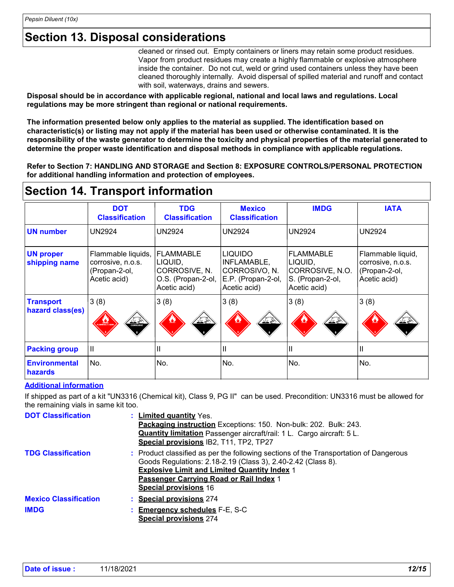### **Section 13. Disposal considerations**

cleaned or rinsed out. Empty containers or liners may retain some product residues. Vapor from product residues may create a highly flammable or explosive atmosphere inside the container. Do not cut, weld or grind used containers unless they have been cleaned thoroughly internally. Avoid dispersal of spilled material and runoff and contact with soil, waterways, drains and sewers.

**Disposal should be in accordance with applicable regional, national and local laws and regulations. Local regulations may be more stringent than regional or national requirements.**

**The information presented below only applies to the material as supplied. The identification based on characteristic(s) or listing may not apply if the material has been used or otherwise contaminated. It is the responsibility of the waste generator to determine the toxicity and physical properties of the material generated to determine the proper waste identification and disposal methods in compliance with applicable regulations.**

**Refer to Section 7: HANDLING AND STORAGE and Section 8: EXPOSURE CONTROLS/PERSONAL PROTECTION for additional handling information and protection of employees.**

### **Section 14. Transport information**

|                                      | <b>DOT</b><br><b>Classification</b>                                      | <b>TDG</b><br><b>Classification</b>                                                | <b>Mexico</b><br><b>Classification</b>                                                      | <b>IMDG</b>                                                                  | <b>IATA</b>                                                             |
|--------------------------------------|--------------------------------------------------------------------------|------------------------------------------------------------------------------------|---------------------------------------------------------------------------------------------|------------------------------------------------------------------------------|-------------------------------------------------------------------------|
| <b>UN number</b>                     | <b>UN2924</b>                                                            | <b>UN2924</b>                                                                      | <b>UN2924</b>                                                                               | <b>UN2924</b>                                                                | <b>UN2924</b>                                                           |
| <b>UN proper</b><br>shipping name    | Flammable liquids,<br>corrosive, n.o.s.<br>(Propan-2-ol,<br>Acetic acid) | <b>FLAMMABLE</b><br>LIQUID,<br>CORROSIVE, N.<br>O.S. (Propan-2-ol,<br>Acetic acid) | <b>LIQUIDO</b><br><b>INFLAMABLE,</b><br>CORROSIVO, N.<br>E.P. (Propan-2-ol,<br>Acetic acid) | IFLAMMABLE<br>LIQUID,<br>CORROSIVE, N.O.<br>S. (Propan-2-ol,<br>Acetic acid) | Flammable liquid,<br>corrosive, n.o.s.<br>(Propan-2-ol,<br>Acetic acid) |
| <b>Transport</b><br>hazard class(es) | 3(8)<br>$\frac{\sqrt{2}}{\sqrt{2}}$<br><b>ANTICARE LIGHT</b>             | 3(8)<br>花条                                                                         | 3(8)<br>化氯                                                                                  | 3(8) <br><u>ten</u>                                                          | 3(8)                                                                    |
| <b>Packing group</b>                 | Ш                                                                        | Ш                                                                                  | Ш                                                                                           |                                                                              | $\mathbf{  }$                                                           |
| <b>Environmental</b><br>hazards      | No.                                                                      | No.                                                                                | No.                                                                                         | No.                                                                          | No.                                                                     |

#### **Additional information**

If shipped as part of a kit "UN3316 (Chemical kit), Class 9, PG II" can be used. Precondition: UN3316 must be allowed for the remaining vials in same kit too.

| <b>DOT Classification</b>    | : Limited quantity Yes.                                                                                                                               |
|------------------------------|-------------------------------------------------------------------------------------------------------------------------------------------------------|
|                              | Packaging instruction Exceptions: 150. Non-bulk: 202. Bulk: 243.                                                                                      |
|                              | <b>Quantity limitation</b> Passenger aircraft/rail: 1 L. Cargo aircraft: 5 L.                                                                         |
|                              | Special provisions IB2, T11, TP2, TP27                                                                                                                |
| <b>TDG Classification</b>    | : Product classified as per the following sections of the Transportation of Dangerous<br>Goods Regulations: 2.18-2.19 (Class 3), 2.40-2.42 (Class 8). |
|                              | <b>Explosive Limit and Limited Quantity Index 1</b>                                                                                                   |
|                              | Passenger Carrying Road or Rail Index 1                                                                                                               |
|                              | <b>Special provisions 16</b>                                                                                                                          |
| <b>Mexico Classification</b> | : Special provisions 274                                                                                                                              |
| <b>IMDG</b>                  | <b>Emergency schedules F-E, S-C</b><br><b>Special provisions 274</b>                                                                                  |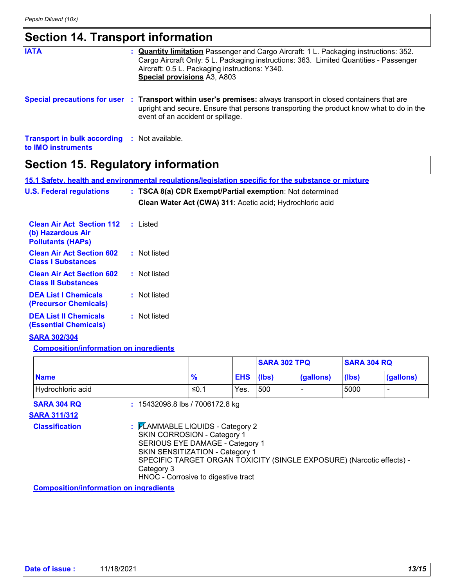### **Section 14. Transport information**

| <b>IATA</b>                                                                      | <b>Quantity limitation</b> Passenger and Cargo Aircraft: 1 L. Packaging instructions: 352.<br>Cargo Aircraft Only: 5 L. Packaging instructions: 363. Limited Quantities - Passenger<br>Aircraft: 0.5 L. Packaging instructions: Y340.<br>Special provisions A3, A803 |
|----------------------------------------------------------------------------------|----------------------------------------------------------------------------------------------------------------------------------------------------------------------------------------------------------------------------------------------------------------------|
|                                                                                  | Special precautions for user : Transport within user's premises: always transport in closed containers that are<br>upright and secure. Ensure that persons transporting the product know what to do in the<br>event of an accident or spillage.                      |
| <b>Transport in bulk according : Not available.</b><br>to <b>IMO</b> instruments |                                                                                                                                                                                                                                                                      |

### **Section 15. Regulatory information**

**15.1 Safety, health and environmental regulations/legislation specific for the substance or mixture**

| <b>U.S. Federal regulations</b>                                                   | : TSCA 8(a) CDR Exempt/Partial exemption: Not determined<br>Clean Water Act (CWA) 311: Acetic acid; Hydrochloric acid |
|-----------------------------------------------------------------------------------|-----------------------------------------------------------------------------------------------------------------------|
| <b>Clean Air Act Section 112</b><br>(b) Hazardous Air<br><b>Pollutants (HAPS)</b> | : Listed                                                                                                              |
| <b>Clean Air Act Section 602</b><br><b>Class I Substances</b>                     | : Not listed                                                                                                          |
| <b>Clean Air Act Section 602</b><br><b>Class II Substances</b>                    | : Not listed                                                                                                          |
| <b>DEA List I Chemicals</b><br><b>(Precursor Chemicals)</b>                       | : Not listed                                                                                                          |
| <b>DEA List II Chemicals</b><br><b>(Essential Chemicals)</b>                      | : Not listed                                                                                                          |

#### **SARA 302/304**

**Composition/information on ingredients**

|                    |                                 |                  | <b>SARA 302 TPQ</b> |                          | <b>SARA 304 RQ</b> |           |
|--------------------|---------------------------------|------------------|---------------------|--------------------------|--------------------|-----------|
| <b>Name</b>        | %                               | <b>EHS</b> (lbs) |                     | (gallons)                | (Ibs)              | (gallons) |
| Hydrochloric acid  | ≤0.1                            | Yes.             | 500                 | $\overline{\phantom{0}}$ | 5000               |           |
| <b>SARA 304 RQ</b> | : 15432098.8 lbs / 7006172.8 kg |                  |                     |                          |                    |           |

**SARA 311/312**

**Classification :** FLAMMABLE LIQUIDS - Category 2 SKIN CORROSION - Category 1 SERIOUS EYE DAMAGE - Category 1 SKIN SENSITIZATION - Category 1 SPECIFIC TARGET ORGAN TOXICITY (SINGLE EXPOSURE) (Narcotic effects) - Category 3

HNOC - Corrosive to digestive tract

**Composition/information on ingredients**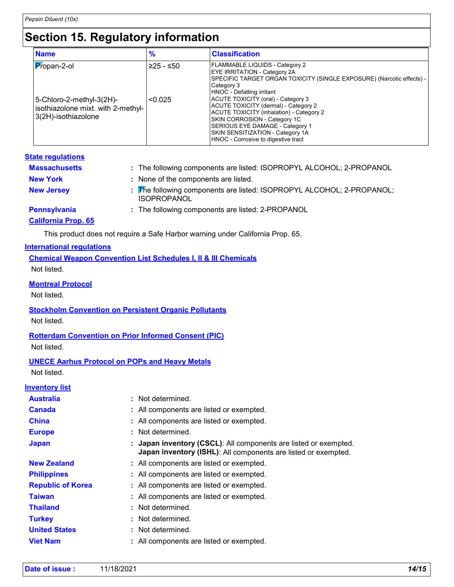# **Section 15. Regulatory information**

| <b>Name</b>                                                                           | %         | <b>Classification</b>                                                                                                                                                                                                                                                       |
|---------------------------------------------------------------------------------------|-----------|-----------------------------------------------------------------------------------------------------------------------------------------------------------------------------------------------------------------------------------------------------------------------------|
| $ $ $P$ ropan-2-ol                                                                    | ≥25 - ≤50 | <b>FLAMMABLE LIQUIDS - Category 2</b><br><b>EYE IRRITATION - Category 2A</b><br>SPECIFIC TARGET ORGAN TOXICITY (SINGLE EXPOSURE) (Narcotic effects) -<br>Category 3<br><b>HNOC - Defatting irritant</b>                                                                     |
| 5-Chloro-2-methyl-3(2H)-<br>isothiazolone mixt. with 2-methyl-<br>3(2H)-isothiazolone | < 0.025   | ACUTE TOXICITY (oral) - Category 3<br>ACUTE TOXICITY (dermal) - Category 2<br><b>ACUTE TOXICITY (inhalation) - Category 2</b><br>SKIN CORROSION - Category 1C<br>SERIOUS EYE DAMAGE - Category 1<br>SKIN SENSITIZATION - Category 1A<br>HNOC - Corrosive to digestive tract |

#### **State regulations**

| <b>Massachusetts</b>       | : The following components are listed: ISOPROPYL ALCOHOL; 2-PROPANOL                        |
|----------------------------|---------------------------------------------------------------------------------------------|
| <b>New York</b>            | : None of the components are listed.                                                        |
| <b>New Jersey</b>          | : The following components are listed: ISOPROPYL ALCOHOL; 2-PROPANOL;<br><b>ISOPROPANOL</b> |
| Pennsylvania               | : The following components are listed: 2-PROPANOL                                           |
| <b>California Prop. 65</b> |                                                                                             |

This product does not require a Safe Harbor warning under California Prop. 65.

#### **International regulations**

| <b>Chemical Weapon Convention List Schedules I, II &amp; III Chemicals</b> |  |
|----------------------------------------------------------------------------|--|
| Not listed.                                                                |  |

#### **Montreal Protocol**

Not listed.

#### **Stockholm Convention on Persistent Organic Pollutants** Not listed.

**Rotterdam Convention on Prior Informed Consent (PIC)**

Not listed.

#### **UNECE Aarhus Protocol on POPs and Heavy Metals**

Not listed.

#### **Inventory list**

| <b>Australia</b>         | : Not determined.                                                                                                                         |
|--------------------------|-------------------------------------------------------------------------------------------------------------------------------------------|
| <b>Canada</b>            | : All components are listed or exempted.                                                                                                  |
| China                    | : All components are listed or exempted.                                                                                                  |
| <b>Europe</b>            | : Not determined.                                                                                                                         |
| Japan                    | : Japan inventory (CSCL): All components are listed or exempted.<br><b>Japan inventory (ISHL):</b> All components are listed or exempted. |
| <b>New Zealand</b>       | : All components are listed or exempted.                                                                                                  |
| <b>Philippines</b>       | : All components are listed or exempted.                                                                                                  |
| <b>Republic of Korea</b> | : All components are listed or exempted.                                                                                                  |
| Taiwan                   | : All components are listed or exempted.                                                                                                  |
| <b>Thailand</b>          | : Not determined.                                                                                                                         |
| <b>Turkey</b>            | : Not determined.                                                                                                                         |
| <b>United States</b>     | : Not determined.                                                                                                                         |
| <b>Viet Nam</b>          | : All components are listed or exempted.                                                                                                  |